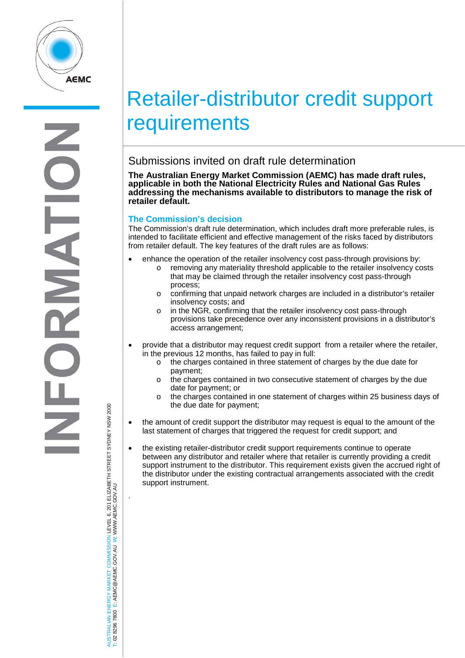

# Retailer-distributor credit support **requirements**

## Submissions invited on draft rule determination

**The Australian Energy Market Commission (AEMC) has made draft rules, applicable in both the National Electricity Rules and National Gas Rules addressing the mechanisms available to distributors to manage the risk of retailer default.**

### **The Commission's decision**

The Commission's draft rule determination, which includes draft more preferable rules, is intended to facilitate efficient and effective management of the risks faced by distributors from retailer default. The key features of the draft rules are as follows:

- enhance the operation of the retailer insolvency cost pass-through provisions by: o removing any materiality threshold applicable to the retailer insolvency costs
	- that may be claimed through the retailer insolvency cost pass-through process;
	- $\circ$  confirming that unpaid network charges are included in a distributor's retailer insolvency costs; and
	- o in the NGR, confirming that the retailer insolvency cost pass-through provisions take precedence over any inconsistent provisions in a distributor's access arrangement;
- provide that a distributor may request credit support from a retailer where the retailer, in the previous 12 months, has failed to pay in full:
	- o the charges contained in three statement of charges by the due date for payment;
	- o the charges contained in two consecutive statement of charges by the due date for payment; or
	- the charges contained in one statement of charges within 25 business days of the due date for payment;
- the amount of credit support the distributor may request is equal to the amount of the last statement of charges that triggered the request for credit support; and
- the existing retailer-distributor credit support requirements continue to operate between any distributor and retailer where that retailer is currently providing a credit support instrument to the distributor. This requirement exists given the accrued right of the distributor under the existing contractual arrangements associated with the credit support instrument.

AUSTRALIAN ENERGY MARKET COMMISSION LEVEL 6, 201 ELIZABETH STREET SYDNEY NSW 2000 ISTRALIAN ENERGY MARKET COMMISSION LEVEL 6, 201 ELIZABETH STREET SYDNEY NSM 2000<br>02 8296 7800 E: AEMC@AEMC.GOV.AU W: WWW.AEMC.GOV.AU W: WWW.AEMC.GOV.AU T: 02 8296 7800 E: AEMC@AEMC.GOV.AU

.